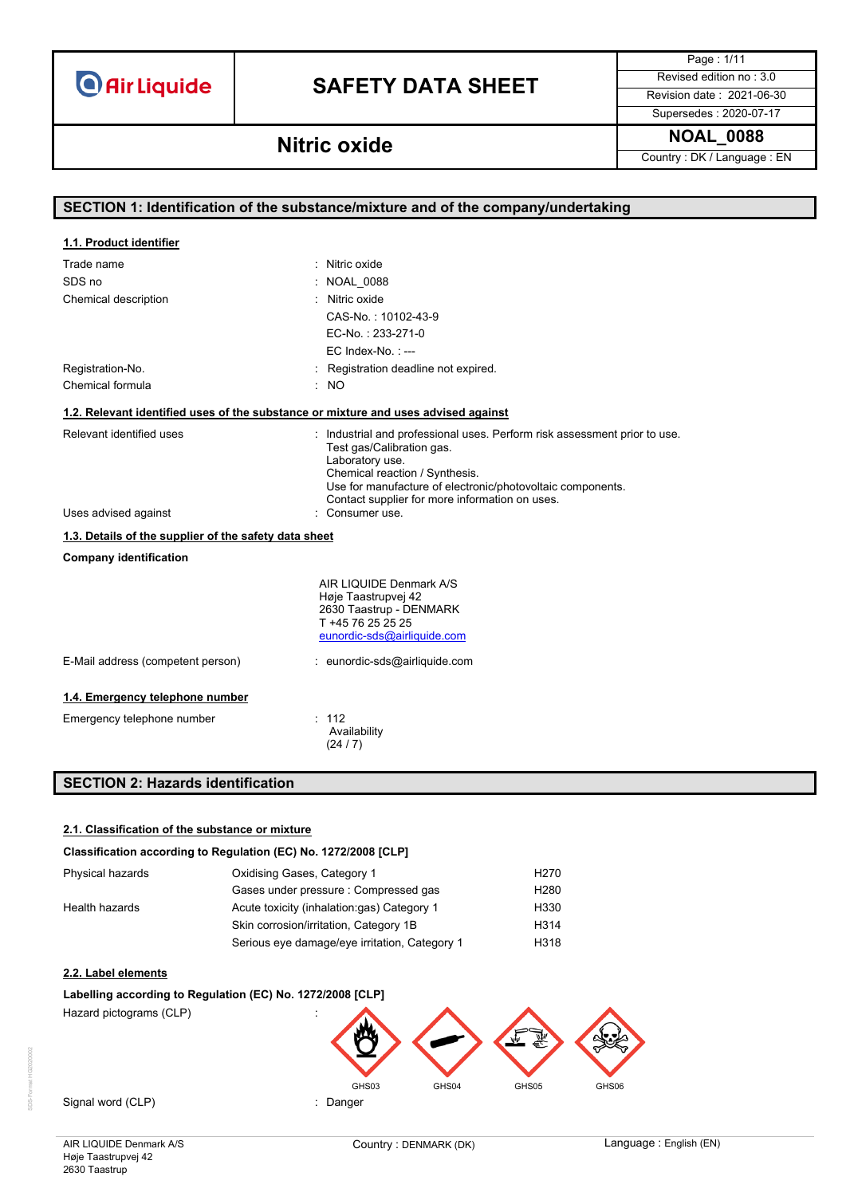# **SAFETY DATA SHEET** Revised edition no : 3.0

Page : 1/11

Supersedes : 2020-07-17

### **NOAL\_0088 Nitric oxide**

Country : DK / Language : EN

|                                                                                    | SECTION 1: Identification of the substance/mixture and of the company/undertaking                                                                                                                                                                                         |
|------------------------------------------------------------------------------------|---------------------------------------------------------------------------------------------------------------------------------------------------------------------------------------------------------------------------------------------------------------------------|
|                                                                                    |                                                                                                                                                                                                                                                                           |
| 1.1. Product identifier                                                            |                                                                                                                                                                                                                                                                           |
| Trade name                                                                         | : Nitric oxide                                                                                                                                                                                                                                                            |
| SDS no                                                                             | : NOAL 0088                                                                                                                                                                                                                                                               |
| Chemical description                                                               | Nitric oxide                                                                                                                                                                                                                                                              |
|                                                                                    | CAS-No.: 10102-43-9                                                                                                                                                                                                                                                       |
|                                                                                    | EC-No.: 233-271-0                                                                                                                                                                                                                                                         |
|                                                                                    | $EC$ Index-No.: $---$                                                                                                                                                                                                                                                     |
| Registration-No.                                                                   | Registration deadline not expired.                                                                                                                                                                                                                                        |
| Chemical formula                                                                   | : NO                                                                                                                                                                                                                                                                      |
| 1.2. Relevant identified uses of the substance or mixture and uses advised against |                                                                                                                                                                                                                                                                           |
| Relevant identified uses                                                           | Industrial and professional uses. Perform risk assessment prior to use.<br>Test gas/Calibration gas.<br>Laboratory use.<br>Chemical reaction / Synthesis.<br>Use for manufacture of electronic/photovoltaic components.<br>Contact supplier for more information on uses. |
| Uses advised against                                                               | : Consumer use.                                                                                                                                                                                                                                                           |
| 1.3. Details of the supplier of the safety data sheet                              |                                                                                                                                                                                                                                                                           |
| <b>Company identification</b>                                                      |                                                                                                                                                                                                                                                                           |
|                                                                                    | AIR LIQUIDE Denmark A/S<br>Høje Taastrupvej 42<br>2630 Taastrup - DENMARK<br>T +45 76 25 25 25<br>eunordic-sds@airliquide.com                                                                                                                                             |
| E-Mail address (competent person)                                                  | : eunordic-sds@airliquide.com                                                                                                                                                                                                                                             |
| 1.4. Emergency telephone number                                                    |                                                                                                                                                                                                                                                                           |
| Emergency telephone number                                                         | : 112<br>Availability<br>(24/7)                                                                                                                                                                                                                                           |

### **SECTION 2: Hazards identification**

### **2.1. Classification of the substance or mixture**

### **Classification according to Regulation (EC) No. 1272/2008 [CLP]**

| Oxidising Gases, Category 1                   | H <sub>270</sub>  |
|-----------------------------------------------|-------------------|
| Gases under pressure : Compressed gas         | H <sub>280</sub>  |
| Acute toxicity (inhalation:gas) Category 1    | H330              |
| Skin corrosion/irritation, Category 1B        | H <sub>3</sub> 14 |
| Serious eye damage/eye irritation, Category 1 | H318              |
|                                               |                   |

### **2.2. Label elements**

### **Labelling according to Regulation (EC) No. 1272/2008 [CLP]**

Hazard pictograms (CLP) :



Signal word (CLP) **in the set of the Signal word** (CLP) **in the Signal word (CLP)** 

AIR LIQUIDE Denmark A/S Høje Taastrupvej 42 2630 Taastrup

GHS03 GHS04 GHS05 GHS06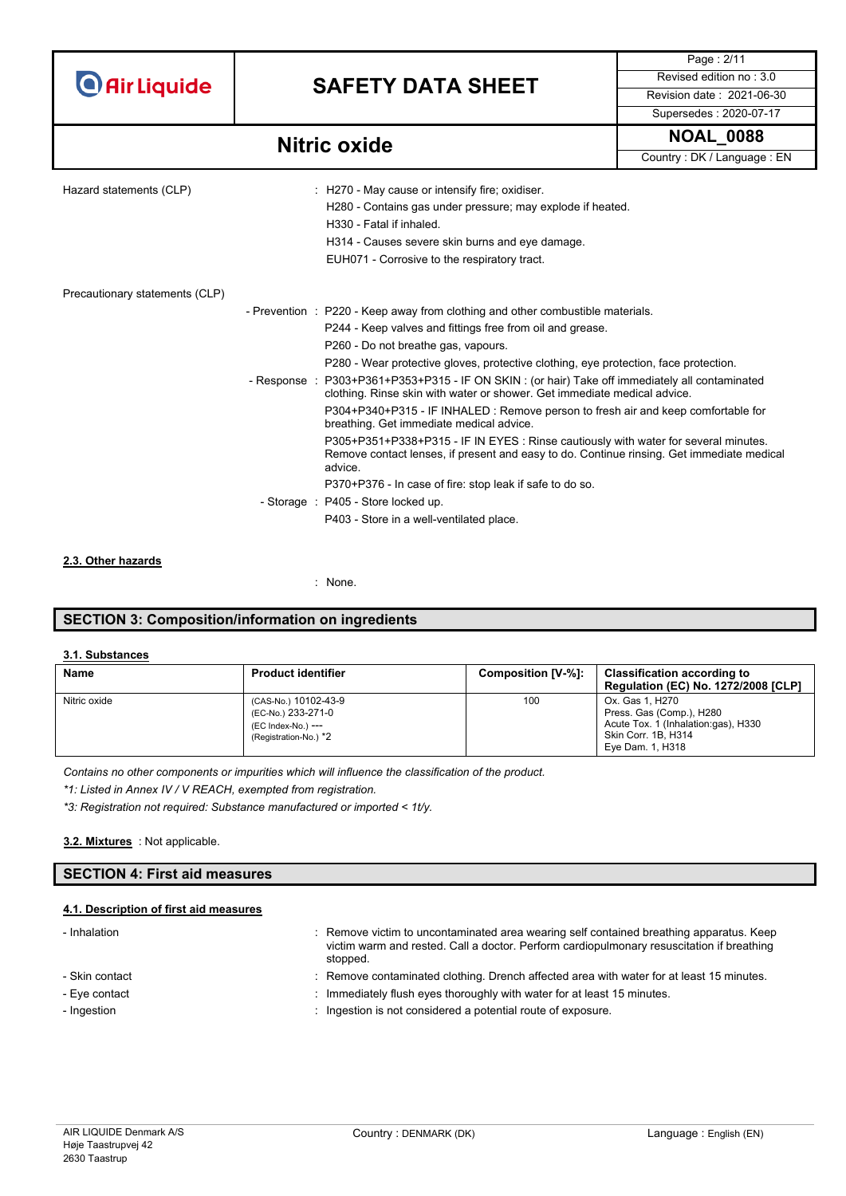# **SAFETY DATA SHEET** Revised edition no : 3.0

Supersedes : 2020-07-17

Page : 2/11

**NOAL\_0088 Nitric oxide**

Country : DK / Language : EN

| Hazard statements (CLP)        | : H270 - May cause or intensify fire; oxidiser.<br>H280 - Contains gas under pressure; may explode if heated.<br>H330 - Fatal if inhaled.<br>H314 - Causes severe skin burns and eye damage.<br>EUH071 - Corrosive to the respiratory tract. |
|--------------------------------|----------------------------------------------------------------------------------------------------------------------------------------------------------------------------------------------------------------------------------------------|
| Precautionary statements (CLP) |                                                                                                                                                                                                                                              |
|                                | - Prevention : P220 - Keep away from clothing and other combustible materials.                                                                                                                                                               |
|                                | P244 - Keep valves and fittings free from oil and grease.                                                                                                                                                                                    |
|                                | P260 - Do not breathe gas, vapours.                                                                                                                                                                                                          |
|                                | P280 - Wear protective gloves, protective clothing, eye protection, face protection.                                                                                                                                                         |
|                                | - Response : P303+P361+P353+P315 - IF ON SKIN : (or hair) Take off immediately all contaminated<br>clothing. Rinse skin with water or shower. Get immediate medical advice.                                                                  |
|                                | P304+P340+P315 - IF INHALED : Remove person to fresh air and keep comfortable for<br>breathing. Get immediate medical advice.                                                                                                                |
|                                | P305+P351+P338+P315 - IF IN EYES: Rinse cautiously with water for several minutes.<br>Remove contact lenses, if present and easy to do. Continue rinsing. Get immediate medical<br>advice.                                                   |
|                                | P370+P376 - In case of fire: stop leak if safe to do so.                                                                                                                                                                                     |
|                                | - Storage : P405 - Store locked up.                                                                                                                                                                                                          |
|                                | P403 - Store in a well-ventilated place.                                                                                                                                                                                                     |

#### **2.3. Other hazards**

: None.

### **SECTION 3: Composition/information on ingredients**

#### **3.1. Substances**

| Name         | <b>Product identifier</b>                                                                 | Composition [V-%]: | <b>Classification according to</b><br><b>Regulation (EC) No. 1272/2008 [CLP]</b>                                              |
|--------------|-------------------------------------------------------------------------------------------|--------------------|-------------------------------------------------------------------------------------------------------------------------------|
| Nitric oxide | (CAS-No.) 10102-43-9<br>(EC-No.) 233-271-0<br>(EC Index-No.) ---<br>(Registration-No.) *2 | 100                | Ox. Gas 1, H270<br>Press. Gas (Comp.), H280<br>Acute Tox. 1 (Inhalation:gas), H330<br>Skin Corr. 1B, H314<br>Eve Dam. 1. H318 |

*Contains no other components or impurities which will influence the classification of the product.*

*\*1: Listed in Annex IV / V REACH, exempted from registration.*

*\*3: Registration not required: Substance manufactured or imported < 1t/y.*

#### : Not applicable. **3.2. Mixtures**

### **SECTION 4: First aid measures**

### **4.1. Description of first aid measures**

| - Inhalation   | : Remove victim to uncontaminated area wearing self contained breathing apparatus. Keep<br>victim warm and rested. Call a doctor. Perform cardiopulmonary resuscitation if breathing<br>stopped. |
|----------------|--------------------------------------------------------------------------------------------------------------------------------------------------------------------------------------------------|
| - Skin contact | : Remove contaminated clothing. Drench affected area with water for at least 15 minutes.                                                                                                         |
| - Eye contact  | $\therefore$ Immediately flush eyes thoroughly with water for at least 15 minutes.                                                                                                               |
| - Ingestion    | Ingestion is not considered a potential route of exposure.                                                                                                                                       |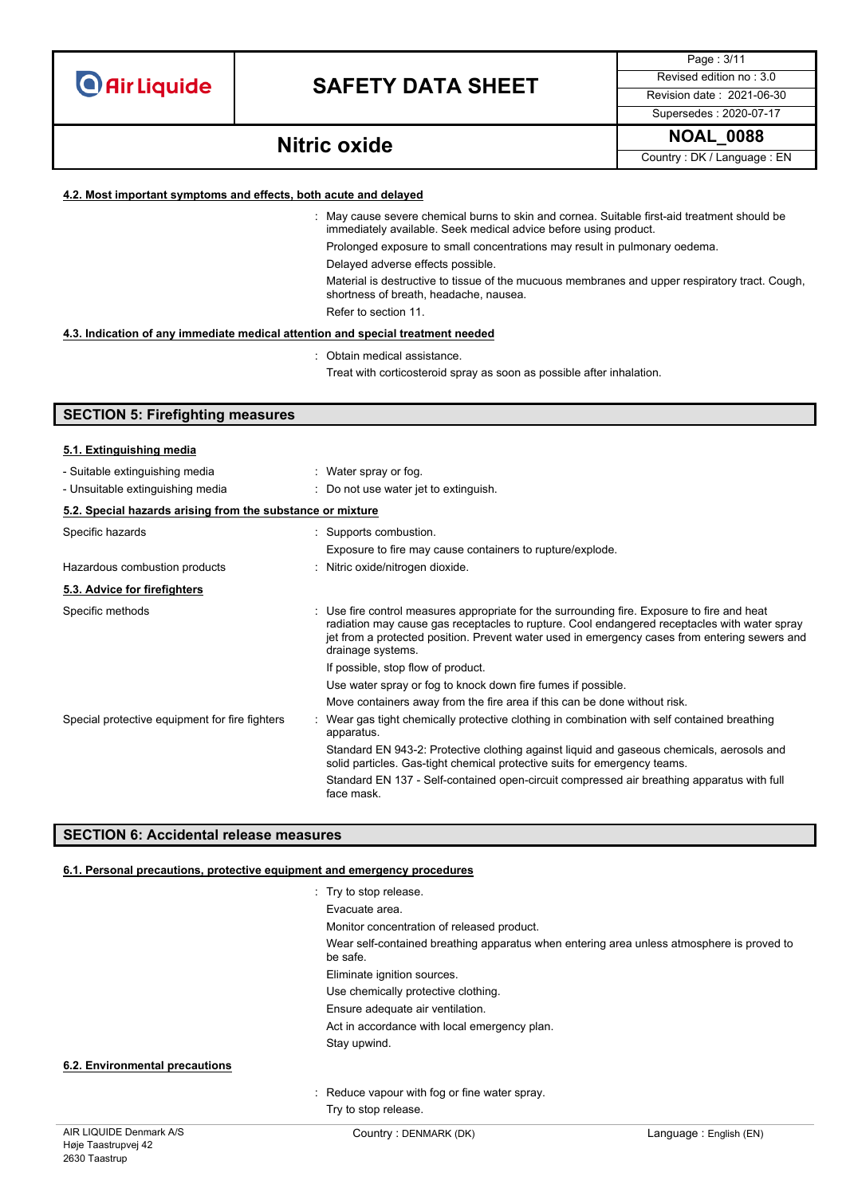## **SAFETY DATA SHEET** Revised edition no : 3.0

Page : 3/11 Supersedes : 2020-07-17

### **NOAL\_0088 Nitric oxide**

Country : DK / Language : EN

#### **4.2. Most important symptoms and effects, both acute and delayed**

: May cause severe chemical burns to skin and cornea. Suitable first-aid treatment should be immediately available. Seek medical advice before using product.

Prolonged exposure to small concentrations may result in pulmonary oedema.

Delayed adverse effects possible.

Material is destructive to tissue of the mucuous membranes and upper respiratory tract. Cough, shortness of breath, headache, nausea.

Refer to section 11.

#### **4.3. Indication of any immediate medical attention and special treatment needed**

: Obtain medical assistance.

Treat with corticosteroid spray as soon as possible after inhalation.

### **SECTION 5: Firefighting measures**

| 5.1. Extinguishing media                                   |                                                                                                                                                                                                                                                                                                                   |
|------------------------------------------------------------|-------------------------------------------------------------------------------------------------------------------------------------------------------------------------------------------------------------------------------------------------------------------------------------------------------------------|
| - Suitable extinguishing media                             | : Water spray or fog.                                                                                                                                                                                                                                                                                             |
| - Unsuitable extinguishing media                           | $\therefore$ Do not use water jet to extinguish.                                                                                                                                                                                                                                                                  |
| 5.2. Special hazards arising from the substance or mixture |                                                                                                                                                                                                                                                                                                                   |
| Specific hazards                                           | : Supports combustion.                                                                                                                                                                                                                                                                                            |
|                                                            | Exposure to fire may cause containers to rupture/explode.                                                                                                                                                                                                                                                         |
| Hazardous combustion products                              | : Nitric oxide/nitrogen dioxide.                                                                                                                                                                                                                                                                                  |
| 5.3. Advice for firefighters                               |                                                                                                                                                                                                                                                                                                                   |
| Specific methods                                           | : Use fire control measures appropriate for the surrounding fire. Exposure to fire and heat<br>radiation may cause gas receptacles to rupture. Cool endangered receptacles with water spray<br>jet from a protected position. Prevent water used in emergency cases from entering sewers and<br>drainage systems. |
|                                                            | If possible, stop flow of product.                                                                                                                                                                                                                                                                                |
|                                                            | Use water spray or fog to knock down fire fumes if possible.                                                                                                                                                                                                                                                      |
|                                                            | Move containers away from the fire area if this can be done without risk.                                                                                                                                                                                                                                         |
| Special protective equipment for fire fighters             | Wear gas tight chemically protective clothing in combination with self contained breathing<br>apparatus.                                                                                                                                                                                                          |
|                                                            | Standard EN 943-2: Protective clothing against liquid and gaseous chemicals, aerosols and<br>solid particles. Gas-tight chemical protective suits for emergency teams.                                                                                                                                            |
|                                                            | Standard EN 137 - Self-contained open-circuit compressed air breathing apparatus with full<br>face mask.                                                                                                                                                                                                          |

### **SECTION 6: Accidental release measures**

#### **6.1. Personal precautions, protective equipment and emergency procedures**

|                                | : Try to stop release.                                                                                |
|--------------------------------|-------------------------------------------------------------------------------------------------------|
|                                | Evacuate area.                                                                                        |
|                                | Monitor concentration of released product.                                                            |
|                                | Wear self-contained breathing apparatus when entering area unless atmosphere is proved to<br>be safe. |
|                                | Eliminate ignition sources.                                                                           |
|                                | Use chemically protective clothing.                                                                   |
|                                | Ensure adequate air ventilation.                                                                      |
|                                | Act in accordance with local emergency plan.                                                          |
|                                | Stay upwind.                                                                                          |
| 6.2. Environmental precautions |                                                                                                       |
|                                | : Reduce vapour with fog or fine water spray.                                                         |
|                                | Try to stop release.                                                                                  |
|                                |                                                                                                       |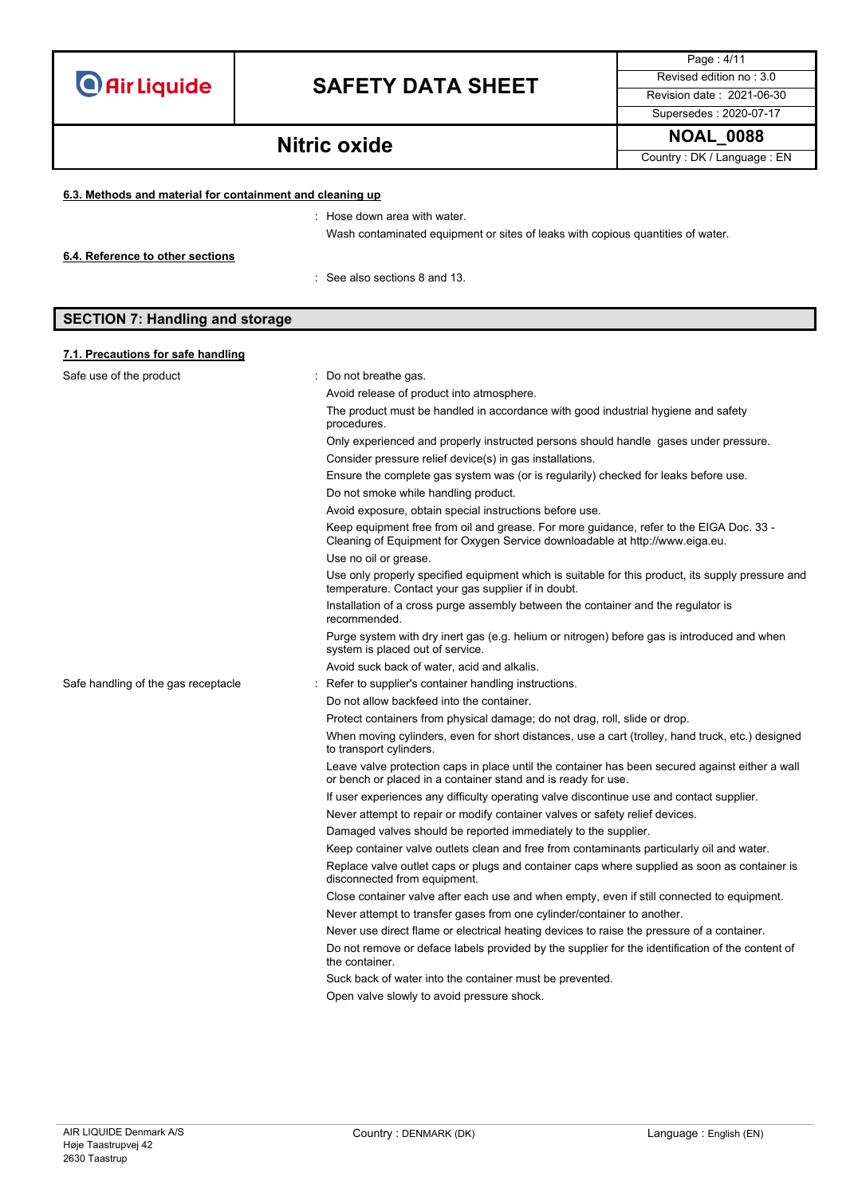# **SAFETY DATA SHEET** Revised edition no : 3.0

Page : 4/11 Supersedes : 2020-07-17

**NOAL\_0088 Nitric oxide**

Country : DK / Language : EN

### **6.3. Methods and material for containment and cleaning up**

: Hose down area with water. Wash contaminated equipment or sites of leaks with copious quantities of water. : See also sections 8 and 13. **6.4. Reference to other sections**

### **SECTION 7: Handling and storage**

### **7.1. Precautions for safe handling**

| Safe use of the product             | : Do not breathe gas.                                                                                                                                                   |  |  |
|-------------------------------------|-------------------------------------------------------------------------------------------------------------------------------------------------------------------------|--|--|
|                                     | Avoid release of product into atmosphere.                                                                                                                               |  |  |
|                                     | The product must be handled in accordance with good industrial hygiene and safety<br>procedures.                                                                        |  |  |
|                                     | Only experienced and properly instructed persons should handle gases under pressure.                                                                                    |  |  |
|                                     | Consider pressure relief device(s) in gas installations.                                                                                                                |  |  |
|                                     | Ensure the complete gas system was (or is regularily) checked for leaks before use.                                                                                     |  |  |
|                                     | Do not smoke while handling product.                                                                                                                                    |  |  |
|                                     | Avoid exposure, obtain special instructions before use.                                                                                                                 |  |  |
|                                     | Keep equipment free from oil and grease. For more guidance, refer to the EIGA Doc. 33 -<br>Cleaning of Equipment for Oxygen Service downloadable at http://www.eiga.eu. |  |  |
|                                     | Use no oil or grease.                                                                                                                                                   |  |  |
|                                     | Use only properly specified equipment which is suitable for this product, its supply pressure and<br>temperature. Contact your gas supplier if in doubt.                |  |  |
|                                     | Installation of a cross purge assembly between the container and the regulator is<br>recommended.                                                                       |  |  |
|                                     | Purge system with dry inert gas (e.g. helium or nitrogen) before gas is introduced and when<br>system is placed out of service.                                         |  |  |
|                                     | Avoid suck back of water, acid and alkalis.                                                                                                                             |  |  |
| Safe handling of the gas receptacle | Refer to supplier's container handling instructions.                                                                                                                    |  |  |
|                                     | Do not allow backfeed into the container.                                                                                                                               |  |  |
|                                     | Protect containers from physical damage; do not drag, roll, slide or drop.                                                                                              |  |  |
|                                     | When moving cylinders, even for short distances, use a cart (trolley, hand truck, etc.) designed<br>to transport cylinders.                                             |  |  |
|                                     | Leave valve protection caps in place until the container has been secured against either a wall<br>or bench or placed in a container stand and is ready for use.        |  |  |
|                                     | If user experiences any difficulty operating valve discontinue use and contact supplier.                                                                                |  |  |
|                                     | Never attempt to repair or modify container valves or safety relief devices.                                                                                            |  |  |
|                                     | Damaged valves should be reported immediately to the supplier.                                                                                                          |  |  |
|                                     | Keep container valve outlets clean and free from contaminants particularly oil and water.                                                                               |  |  |
|                                     | Replace valve outlet caps or plugs and container caps where supplied as soon as container is<br>disconnected from equipment.                                            |  |  |
|                                     | Close container valve after each use and when empty, even if still connected to equipment.                                                                              |  |  |
|                                     | Never attempt to transfer gases from one cylinder/container to another.                                                                                                 |  |  |
|                                     | Never use direct flame or electrical heating devices to raise the pressure of a container.                                                                              |  |  |
|                                     | Do not remove or deface labels provided by the supplier for the identification of the content of<br>the container.                                                      |  |  |
|                                     | Suck back of water into the container must be prevented.                                                                                                                |  |  |
|                                     | Open valve slowly to avoid pressure shock.                                                                                                                              |  |  |
|                                     |                                                                                                                                                                         |  |  |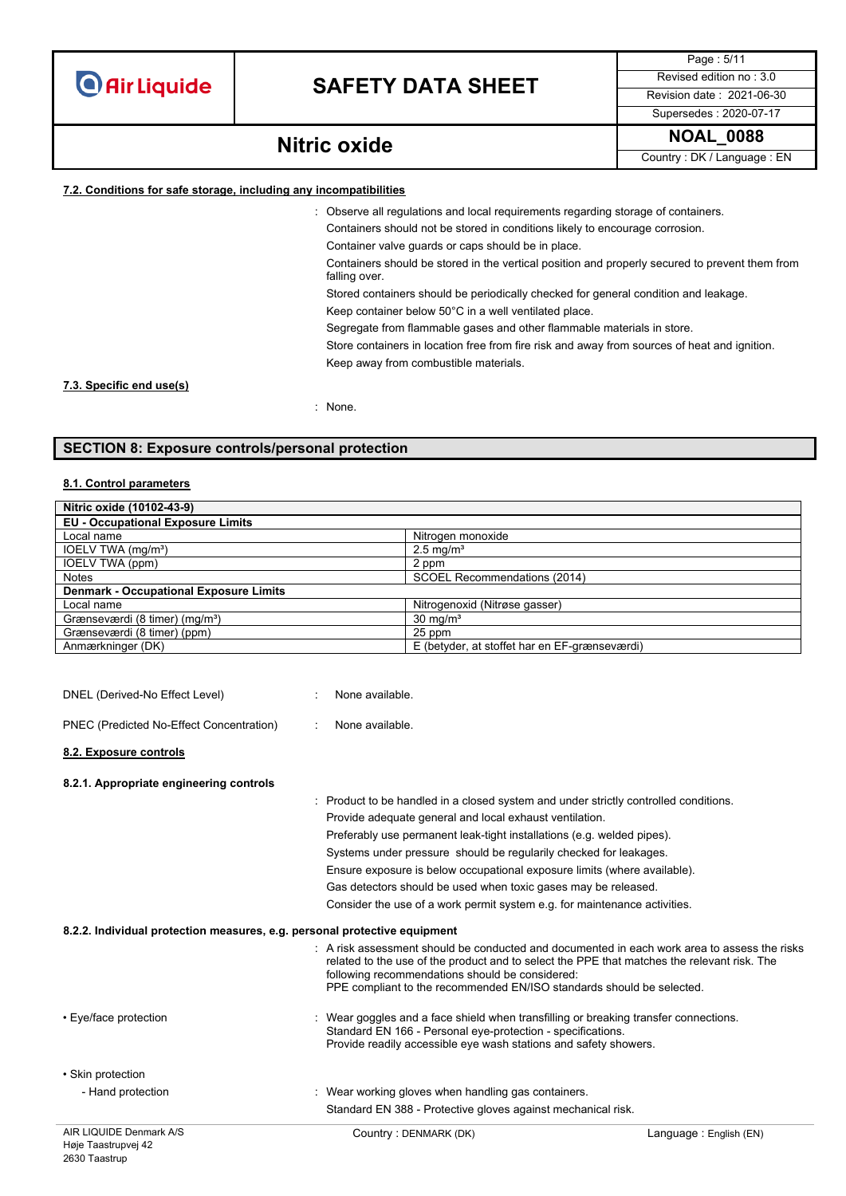## **SAFETY DATA SHEET** Revised edition no : 3.0

Page : 5/11 Supersedes : 2020-07-17

### **NOAL\_0088 Nitric oxide**

Country : DK / Language : EN

### **7.2. Conditions for safe storage, including any incompatibilities**

: Observe all regulations and local requirements regarding storage of containers.

Containers should not be stored in conditions likely to encourage corrosion.

Container valve guards or caps should be in place.

Containers should be stored in the vertical position and properly secured to prevent them from falling over.

Stored containers should be periodically checked for general condition and leakage.

Keep container below 50°C in a well ventilated place.

Segregate from flammable gases and other flammable materials in store.

Store containers in location free from fire risk and away from sources of heat and ignition. Keep away from combustible materials.

### **7.3. Specific end use(s)**

: None.

### **SECTION 8: Exposure controls/personal protection**

### **8.1. Control parameters**

| Nitric oxide (10102-43-9)                     |                                               |
|-----------------------------------------------|-----------------------------------------------|
| <b>EU - Occupational Exposure Limits</b>      |                                               |
| Local name                                    | Nitrogen monoxide                             |
| IOELV TWA (mg/m <sup>3</sup> )                | $2.5 \text{ mg/m}^3$                          |
| IOELV TWA (ppm)                               | 2 ppm                                         |
| <b>Notes</b>                                  | SCOEL Recommendations (2014)                  |
| <b>Denmark - Occupational Exposure Limits</b> |                                               |
| Local name                                    | Nitrogenoxid (Nitrøse gasser)                 |
| Grænseværdi (8 timer) (mg/m <sup>3</sup> )    | $30 \text{ mg/m}^3$                           |
| Grænseværdi (8 timer) (ppm)                   | 25 ppm                                        |
| Anmærkninger (DK)                             | E (betyder, at stoffet har en EF-grænseværdi) |

| AIR LIQUIDE Denmark A/S                                                   | Country: DENMARK (DK)                                                                                                                                                                                                   | Language: English (EN)                                                                                  |
|---------------------------------------------------------------------------|-------------------------------------------------------------------------------------------------------------------------------------------------------------------------------------------------------------------------|---------------------------------------------------------------------------------------------------------|
|                                                                           | Standard EN 388 - Protective gloves against mechanical risk.                                                                                                                                                            |                                                                                                         |
| - Hand protection                                                         | : Wear working gloves when handling gas containers.                                                                                                                                                                     |                                                                                                         |
| • Skin protection                                                         |                                                                                                                                                                                                                         |                                                                                                         |
| • Eye/face protection                                                     | Wear goggles and a face shield when transfilling or breaking transfer connections.<br>Standard EN 166 - Personal eye-protection - specifications.<br>Provide readily accessible eye wash stations and safety showers.   |                                                                                                         |
|                                                                           | related to the use of the product and to select the PPE that matches the relevant risk. The<br>following recommendations should be considered:<br>PPE compliant to the recommended EN/ISO standards should be selected. | $\therefore$ A risk assessment should be conducted and documented in each work area to assess the risks |
| 8.2.2. Individual protection measures, e.g. personal protective equipment |                                                                                                                                                                                                                         |                                                                                                         |
|                                                                           | Consider the use of a work permit system e.g. for maintenance activities.                                                                                                                                               |                                                                                                         |
|                                                                           | Gas detectors should be used when toxic gases may be released.                                                                                                                                                          |                                                                                                         |
|                                                                           | Ensure exposure is below occupational exposure limits (where available).                                                                                                                                                |                                                                                                         |
|                                                                           | Systems under pressure should be regularily checked for leakages.                                                                                                                                                       |                                                                                                         |
|                                                                           | Preferably use permanent leak-tight installations (e.g. welded pipes).                                                                                                                                                  |                                                                                                         |
|                                                                           | Provide adequate general and local exhaust ventilation.                                                                                                                                                                 |                                                                                                         |
| 8.2.1. Appropriate engineering controls                                   | : Product to be handled in a closed system and under strictly controlled conditions.                                                                                                                                    |                                                                                                         |
|                                                                           |                                                                                                                                                                                                                         |                                                                                                         |
| 8.2. Exposure controls                                                    |                                                                                                                                                                                                                         |                                                                                                         |
| PNEC (Predicted No-Effect Concentration)                                  | None available.                                                                                                                                                                                                         |                                                                                                         |
| DNEL (Derived-No Effect Level)                                            | None available.                                                                                                                                                                                                         |                                                                                                         |
|                                                                           |                                                                                                                                                                                                                         |                                                                                                         |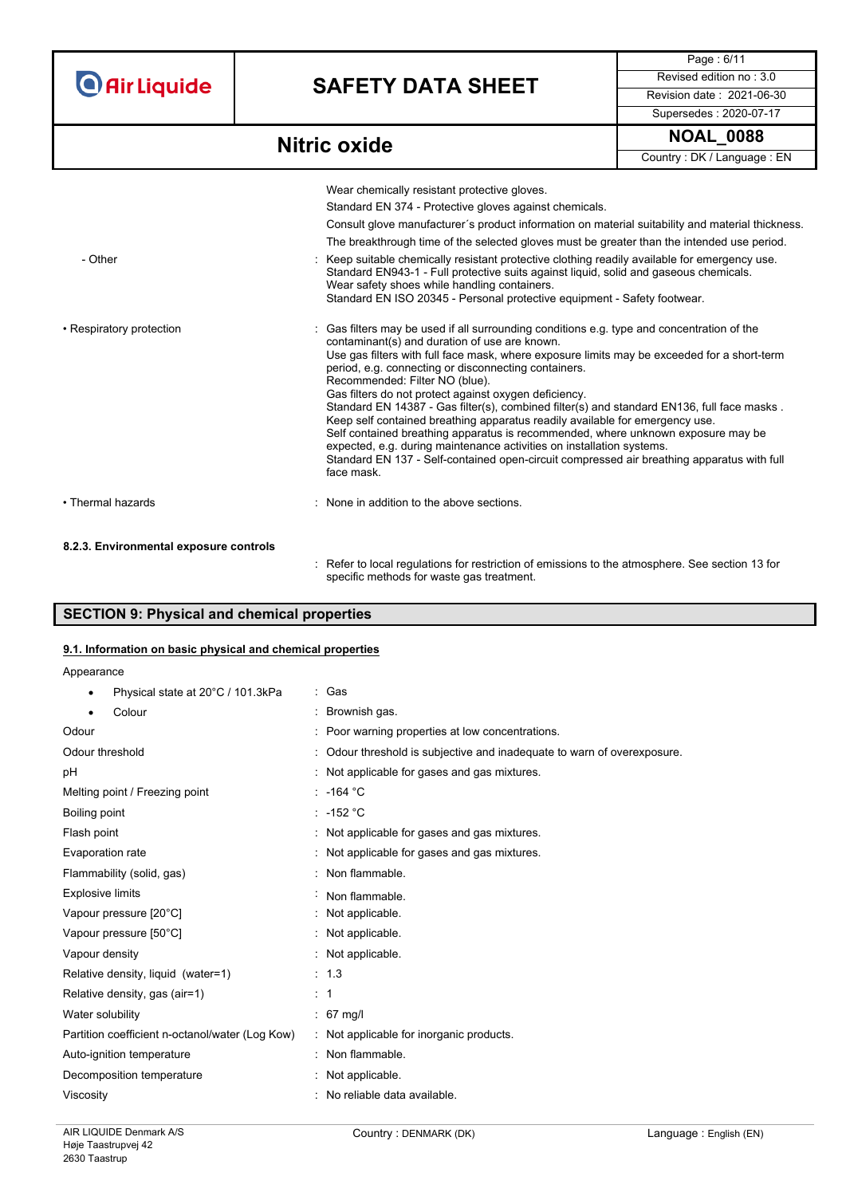# **SAFETY DATA SHEET** Revised edition no : 3.0

Page : 6/11 Supersedes : 2020-07-17

### **NOAL\_0088 Nitric oxide**

Country : DK / Language : EN

|                                        | Wear chemically resistant protective gloves.                                                                                                                                                                                                                                                                       |
|----------------------------------------|--------------------------------------------------------------------------------------------------------------------------------------------------------------------------------------------------------------------------------------------------------------------------------------------------------------------|
|                                        | Standard EN 374 - Protective gloves against chemicals.                                                                                                                                                                                                                                                             |
|                                        | Consult glove manufacturer's product information on material suitability and material thickness.                                                                                                                                                                                                                   |
|                                        | The breakthrough time of the selected gloves must be greater than the intended use period.                                                                                                                                                                                                                         |
| - Other                                | : Keep suitable chemically resistant protective clothing readily available for emergency use.<br>Standard EN943-1 - Full protective suits against liquid, solid and gaseous chemicals.<br>Wear safety shoes while handling containers.<br>Standard EN ISO 20345 - Personal protective equipment - Safety footwear. |
| • Respiratory protection               | : Gas filters may be used if all surrounding conditions e.g. type and concentration of the<br>contaminant(s) and duration of use are known.                                                                                                                                                                        |
|                                        | Use gas filters with full face mask, where exposure limits may be exceeded for a short-term<br>period, e.g. connecting or disconnecting containers.                                                                                                                                                                |
|                                        | Recommended: Filter NO (blue).<br>Gas filters do not protect against oxygen deficiency.                                                                                                                                                                                                                            |
|                                        | Standard EN 14387 - Gas filter(s), combined filter(s) and standard EN136, full face masks.<br>Keep self contained breathing apparatus readily available for emergency use.                                                                                                                                         |
|                                        | Self contained breathing apparatus is recommended, where unknown exposure may be                                                                                                                                                                                                                                   |
|                                        | expected, e.g. during maintenance activities on installation systems.<br>Standard EN 137 - Self-contained open-circuit compressed air breathing apparatus with full<br>face mask.                                                                                                                                  |
| • Thermal hazards                      | : None in addition to the above sections.                                                                                                                                                                                                                                                                          |
| 8.2.3. Environmental exposure controls |                                                                                                                                                                                                                                                                                                                    |

specific methods for waste gas treatment.

: Refer to local regulations for restriction of emissions to the atmosphere. See section 13 for

### **SECTION 9: Physical and chemical properties**

### **9.1. Information on basic physical and chemical properties**

| Appearance |
|------------|
|------------|

| Physical state at 20°C / 101.3kPa<br>٠          | : Gas                                                                 |
|-------------------------------------------------|-----------------------------------------------------------------------|
| Colour                                          | Brownish gas.                                                         |
| Odour                                           | Poor warning properties at low concentrations.                        |
| Odour threshold                                 | Odour threshold is subjective and inadequate to warn of overexposure. |
| рH                                              | Not applicable for gases and gas mixtures.                            |
| Melting point / Freezing point                  | $: -164 °C$                                                           |
| Boiling point                                   | $: -152 °C$                                                           |
| Flash point                                     | Not applicable for gases and gas mixtures.                            |
| Evaporation rate                                | Not applicable for gases and gas mixtures.                            |
| Flammability (solid, gas)                       | Non flammable.                                                        |
| <b>Explosive limits</b>                         | Non flammable.                                                        |
| Vapour pressure [20°C]                          | Not applicable.                                                       |
| Vapour pressure [50°C]                          | : Not applicable.                                                     |
| Vapour density                                  | : Not applicable.                                                     |
| Relative density, liquid (water=1)              | : 1.3                                                                 |
| Relative density, gas (air=1)                   | $\therefore$ 1                                                        |
| Water solubility                                | $: 67 \text{ mg/l}$                                                   |
| Partition coefficient n-octanol/water (Log Kow) | : Not applicable for inorganic products.                              |
| Auto-ignition temperature                       | : Non flammable.                                                      |
| Decomposition temperature                       | Not applicable.                                                       |
| Viscosity                                       | No reliable data available.                                           |
|                                                 |                                                                       |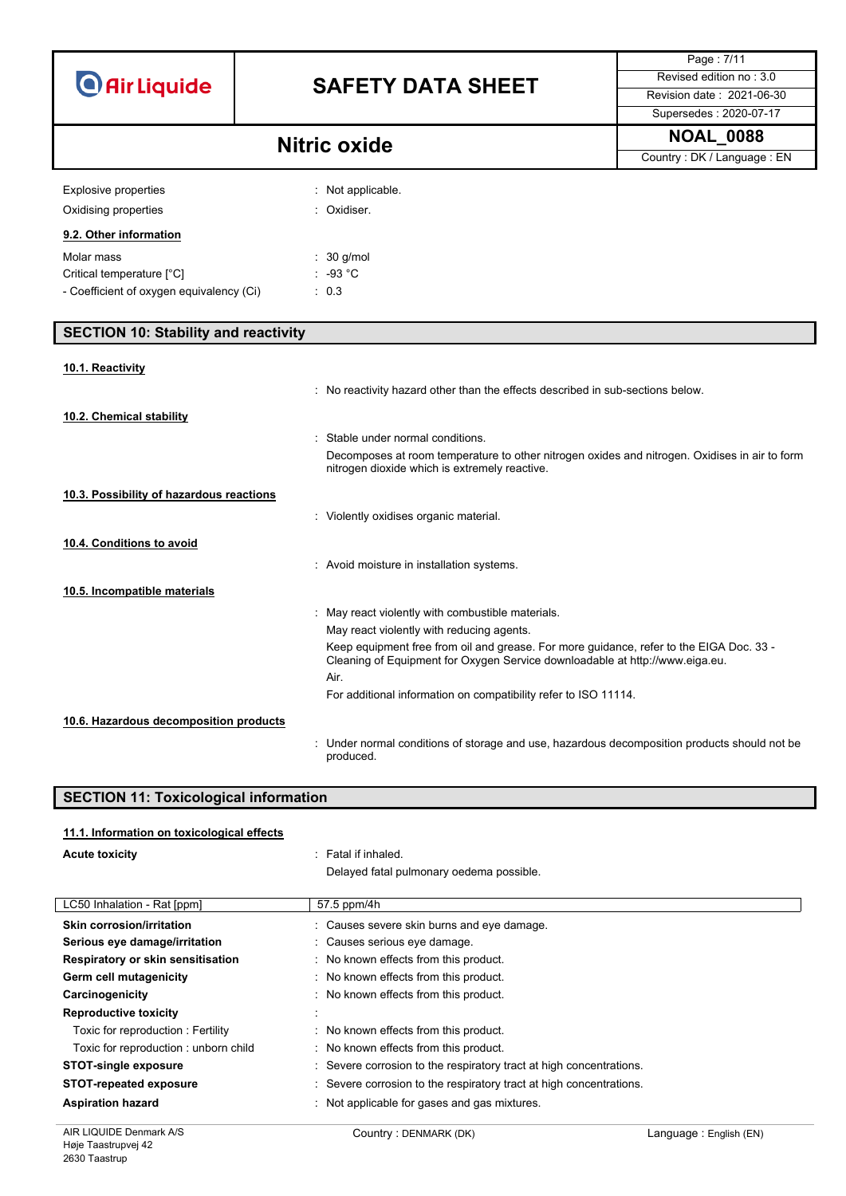# **SAFETY DATA SHEET** Revised edition no : 3.0

Page : 7/11 Supersedes : 2020-07-17

### **NOAL\_0088 Nitric oxide**

Country : DK / Language : EN

| $:$ Not applicable.   |
|-----------------------|
| · Oxidiser            |
|                       |
| $\therefore$ 30 g/mol |
| $\therefore$ -93 °C   |
| : 0.3                 |
|                       |

**SECTION 10: Stability and reactivity**

| 10.1. Reactivity                         |           |                                                                                                                                                                         |
|------------------------------------------|-----------|-------------------------------------------------------------------------------------------------------------------------------------------------------------------------|
|                                          |           | : No reactivity hazard other than the effects described in sub-sections below.                                                                                          |
| 10.2. Chemical stability                 |           |                                                                                                                                                                         |
|                                          | $\bullet$ | Stable under normal conditions.                                                                                                                                         |
|                                          |           | Decomposes at room temperature to other nitrogen oxides and nitrogen. Oxidises in air to form<br>nitrogen dioxide which is extremely reactive.                          |
| 10.3. Possibility of hazardous reactions |           |                                                                                                                                                                         |
|                                          |           | : Violently oxidises organic material.                                                                                                                                  |
| 10.4. Conditions to avoid                |           |                                                                                                                                                                         |
|                                          |           | Avoid moisture in installation systems.                                                                                                                                 |
| 10.5. Incompatible materials             |           |                                                                                                                                                                         |
|                                          |           | May react violently with combustible materials.                                                                                                                         |
|                                          |           | May react violently with reducing agents.                                                                                                                               |
|                                          |           | Keep equipment free from oil and grease. For more guidance, refer to the EIGA Doc. 33 -<br>Cleaning of Equipment for Oxygen Service downloadable at http://www.eiga.eu. |
|                                          |           | Air.                                                                                                                                                                    |
|                                          |           | For additional information on compatibility refer to ISO 11114.                                                                                                         |
| 10.6. Hazardous decomposition products   |           |                                                                                                                                                                         |
|                                          |           | Under normal conditions of storage and use, hazardous decomposition products should not be<br>produced.                                                                 |

### **SECTION 11: Toxicological information**

### **11.1. Information on toxicological effects**

| <b>Acute toxicity</b>                 | : Fatal if inhaled.                                                 |
|---------------------------------------|---------------------------------------------------------------------|
|                                       | Delayed fatal pulmonary oedema possible.                            |
| LC50 Inhalation - Rat [ppm]           | 57.5 ppm/4h                                                         |
| Skin corrosion/irritation             | : Causes severe skin burns and eye damage.                          |
| Serious eye damage/irritation         | : Causes serious eye damage.                                        |
| Respiratory or skin sensitisation     | : No known effects from this product.                               |
| Germ cell mutagenicity                | No known effects from this product.                                 |
| Carcinogenicity                       | No known effects from this product.                                 |
| <b>Reproductive toxicity</b>          |                                                                     |
| Toxic for reproduction: Fertility     | : No known effects from this product.                               |
| Toxic for reproduction : unborn child | : No known effects from this product.                               |
| <b>STOT-single exposure</b>           | : Severe corrosion to the respiratory tract at high concentrations. |
| <b>STOT-repeated exposure</b>         | : Severe corrosion to the respiratory tract at high concentrations. |
| <b>Aspiration hazard</b>              | : Not applicable for gases and gas mixtures.                        |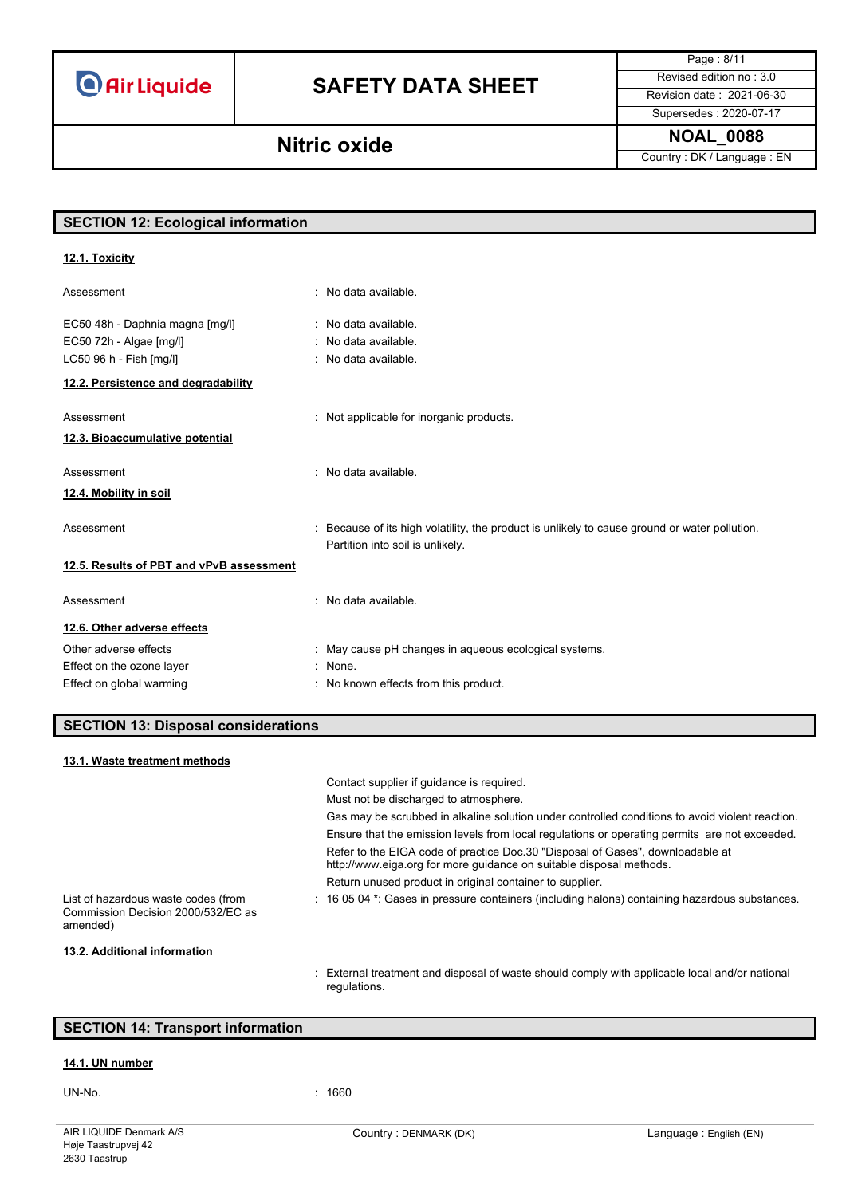# **SAFETY DATA SHEET** Revised edition no : 3.0

Page : 8/11

### Supersedes : 2020-07-17

**NOAL\_0088 Nitric oxide**

Country : DK / Language : EN

| <b>SECTION 12: Ecological information</b>                                                                     |                                                                                                                                 |  |
|---------------------------------------------------------------------------------------------------------------|---------------------------------------------------------------------------------------------------------------------------------|--|
| 12.1. Toxicity                                                                                                |                                                                                                                                 |  |
| Assessment                                                                                                    | No data available.<br>۰                                                                                                         |  |
| EC50 48h - Daphnia magna [mg/l]<br>EC50 72h - Algae [mg/l]<br>LC50 96 h - Fish [mg/l]                         | : No data available.<br>No data available.<br>$\bullet$<br>No data available.                                                   |  |
| 12.2. Persistence and degradability                                                                           |                                                                                                                                 |  |
| Assessment<br>12.3. Bioaccumulative potential                                                                 | : Not applicable for inorganic products.                                                                                        |  |
| Assessment<br>12.4. Mobility in soil                                                                          | : No data available.                                                                                                            |  |
| Assessment                                                                                                    | Because of its high volatility, the product is unlikely to cause ground or water pollution.<br>Partition into soil is unlikely. |  |
| 12.5. Results of PBT and vPvB assessment                                                                      |                                                                                                                                 |  |
| Assessment                                                                                                    | : No data available.                                                                                                            |  |
| 12.6. Other adverse effects<br>Other adverse effects<br>Effect on the ozone layer<br>Effect on global warming | : May cause pH changes in aqueous ecological systems.<br>: None<br>No known effects from this product.                          |  |

### **SECTION 13: Disposal considerations**

| 13.1. Waste treatment methods                                                         |                                                                                                                                                       |
|---------------------------------------------------------------------------------------|-------------------------------------------------------------------------------------------------------------------------------------------------------|
|                                                                                       | Contact supplier if guidance is required.                                                                                                             |
|                                                                                       | Must not be discharged to atmosphere.                                                                                                                 |
|                                                                                       | Gas may be scrubbed in alkaline solution under controlled conditions to avoid violent reaction.                                                       |
|                                                                                       | Ensure that the emission levels from local regulations or operating permits are not exceeded.                                                         |
|                                                                                       | Refer to the EIGA code of practice Doc.30 "Disposal of Gases", downloadable at<br>http://www.eiga.org for more guidance on suitable disposal methods. |
|                                                                                       | Return unused product in original container to supplier.                                                                                              |
| List of hazardous waste codes (from<br>Commission Decision 2000/532/EC as<br>amended) | : 16 05 04 *: Gases in pressure containers (including halons) containing hazardous substances.                                                        |
| 13.2. Additional information                                                          |                                                                                                                                                       |
|                                                                                       | : External treatment and disposal of waste should comply with applicable local and/or national<br>regulations.                                        |

### **SECTION 14: Transport information**

### **14.1. UN number**

UN-No. : 1660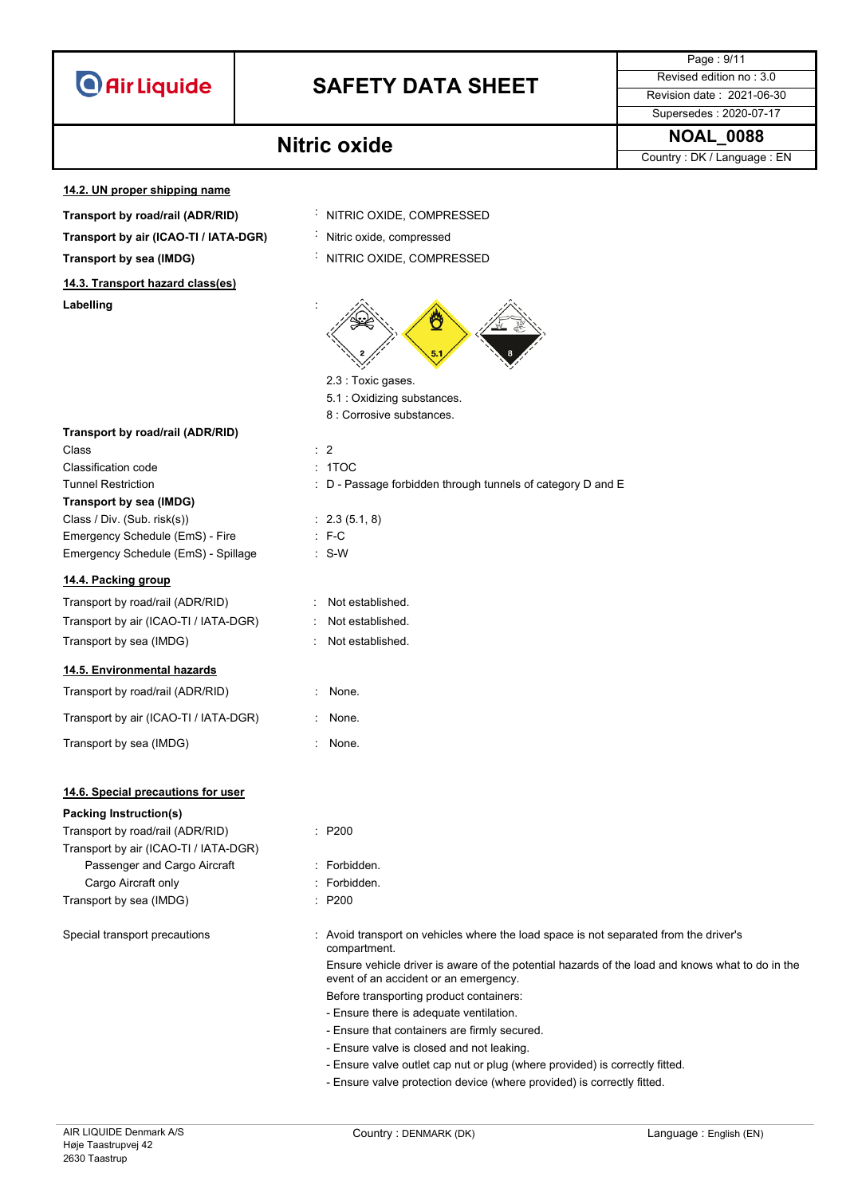## **SAFETY DATA SHEET** Revised edition no : 3.0

### **NOAL\_0088 Nitric oxide**

Page : 9/11 Supersedes : 2020-07-17

Country : DK / Language : EN

**14.2. UN proper shipping name**

- **Transport by road/rail (ADR/RID)** : NITRIC OXIDE, COMPRESSED
- **Transport by air (ICAO-TI / IATA-DGR)** : Nitric oxide, compressed
- 

**14.3. Transport hazard class(es)**

**Labelling** :

- 
- 
- **Transport by sea (IMDG)** : NITRIC OXIDE, COMPRESSED



- 2.3 : Toxic gases.
- 5.1 : Oxidizing substances.
- 8 : Corrosive substances.
- **Transport by road/rail (ADR/RID)** Class : 2
- Classification code : 1TOC
- Tunnel Restriction : D Passage forbidden through tunnels of category D and E
- Class / Div. (Sub. risk(s)) : 2.3 (5.1, 8)
- Emergency Schedule (EmS) Fire : F-C
- Emergency Schedule (EmS) Spillage : S-W
- Transport by road/rail (ADR/RID) : Not established.
- Transport by air (ICAO-TI / IATA-DGR) : Not established.
- Transport by sea (IMDG) : Not established.
- **14.5. Environmental hazards**

**Transport by sea (IMDG)**

**14.4. Packing group**

Transport by road/rail (ADR/RID) : None.

Transport by air (ICAO-TI / IATA-DGR) : None.

Transport by sea (IMDG) : None.

### **14.6. Special precautions for user**

#### **Packing Instruction(s)**

Transport by road/rail (ADR/RID) : P200 Transport by air (ICAO-TI / IATA-DGR) Passenger and Cargo Aircraft : Forbidden. Cargo Aircraft only **Example 20** Section 2011 : Forbidden. Transport by sea (IMDG) : P200

- 
- 
- 
- 
- 
- 
- 
- Special transport precautions : Avoid transport on vehicles where the load space is not separated from the driver's compartment.

Ensure vehicle driver is aware of the potential hazards of the load and knows what to do in the event of an accident or an emergency.

- Before transporting product containers:
- Ensure there is adequate ventilation.
- Ensure that containers are firmly secured.
- Ensure valve is closed and not leaking.
- Ensure valve outlet cap nut or plug (where provided) is correctly fitted.
- Ensure valve protection device (where provided) is correctly fitted.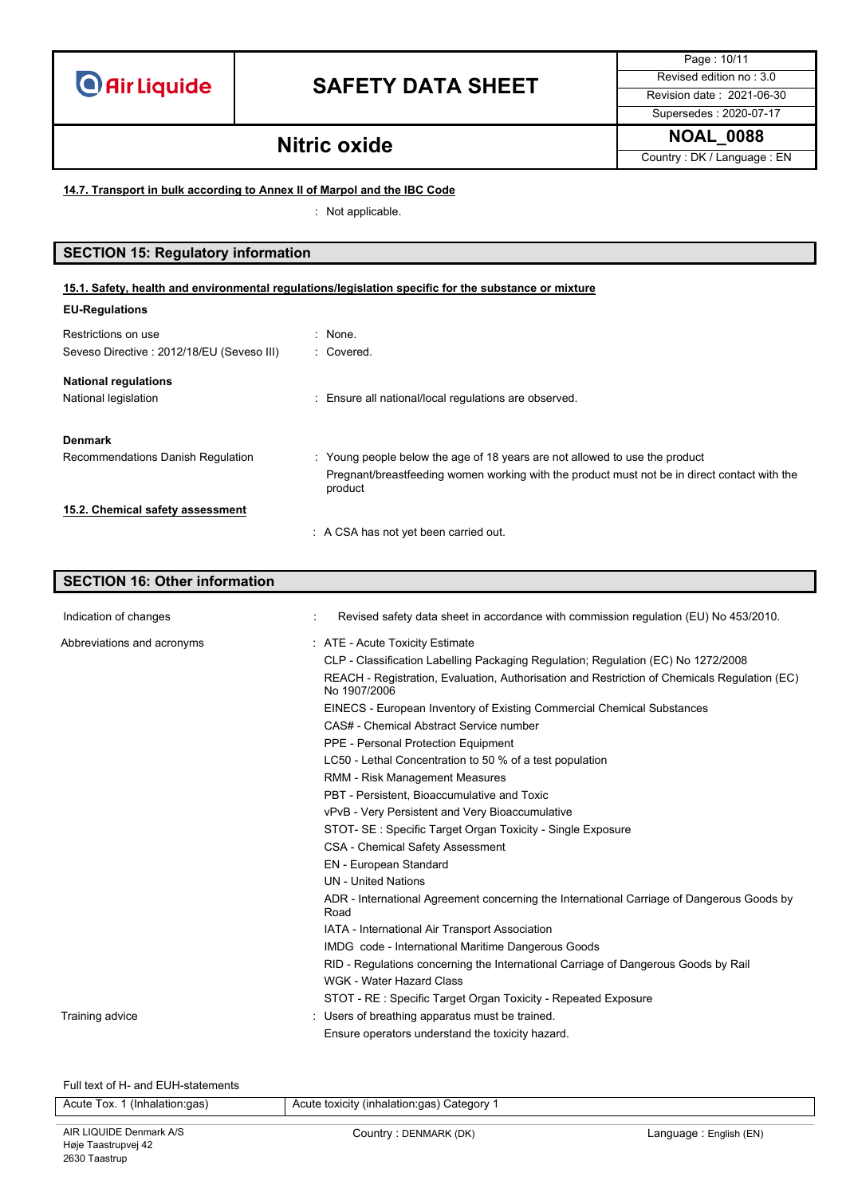# **SAFETY DATA SHEET** Revised edition no : 3.0

Page : 10/11 Supersedes : 2020-07-17

**NOAL\_0088 Nitric oxide**

Country : DK / Language : EN

### **14.7. Transport in bulk according to Annex II of Marpol and the IBC Code**

: Not applicable.

### **SECTION 15: Regulatory information**

### **15.1. Safety, health and environmental regulations/legislation specific for the substance or mixture**

### **EU-Regulations**

| Restrictions on use<br>Seveso Directive: 2012/18/EU (Seveso III) | : None.<br>: Covered.                                                                                                                                                                  |
|------------------------------------------------------------------|----------------------------------------------------------------------------------------------------------------------------------------------------------------------------------------|
| <b>National regulations</b><br>National legislation              | : Ensure all national/local regulations are observed.                                                                                                                                  |
| <b>Denmark</b><br>Recommendations Danish Regulation              | : Young people below the age of 18 years are not allowed to use the product<br>Pregnant/breastfeeding women working with the product must not be in direct contact with the<br>product |
| 15.2. Chemical safety assessment                                 | : A CSA has not yet been carried out.                                                                                                                                                  |

### **SECTION 16: Other information** Indication of changes **included in the Changes** : Revised safety data sheet in accordance with commission regulation (EU) No 453/2010.

| Abbreviations and acronyms | : ATE - Acute Toxicity Estimate                                                                              |
|----------------------------|--------------------------------------------------------------------------------------------------------------|
|                            | CLP - Classification Labelling Packaging Regulation; Regulation (EC) No 1272/2008                            |
|                            | REACH - Registration, Evaluation, Authorisation and Restriction of Chemicals Regulation (EC)<br>No 1907/2006 |
|                            | EINECS - European Inventory of Existing Commercial Chemical Substances                                       |
|                            | CAS# - Chemical Abstract Service number                                                                      |
|                            | PPE - Personal Protection Equipment                                                                          |
|                            | LC50 - Lethal Concentration to 50 % of a test population                                                     |
|                            | <b>RMM - Risk Management Measures</b>                                                                        |
|                            | PBT - Persistent. Bioaccumulative and Toxic                                                                  |
|                            | vPvB - Very Persistent and Very Bioaccumulative                                                              |
|                            | STOT- SE: Specific Target Organ Toxicity - Single Exposure                                                   |
|                            | <b>CSA - Chemical Safety Assessment</b>                                                                      |
|                            | EN - European Standard                                                                                       |
|                            | <b>UN</b> - United Nations                                                                                   |
|                            | ADR - International Agreement concerning the International Carriage of Dangerous Goods by<br>Road            |
|                            | IATA - International Air Transport Association                                                               |
|                            | IMDG code - International Maritime Dangerous Goods                                                           |
|                            | RID - Regulations concerning the International Carriage of Dangerous Goods by Rail                           |
|                            | WGK - Water Hazard Class                                                                                     |
|                            | STOT - RE: Specific Target Organ Toxicity - Repeated Exposure                                                |
| Training advice            | : Users of breathing apparatus must be trained.                                                              |
|                            | Ensure operators understand the toxicity hazard.                                                             |

Full text of H- and EUH-statements

| Acute Tox. 1 (Inhalation:gas) | Acute toxicity (inhalation:gas) Category 1 |                        |
|-------------------------------|--------------------------------------------|------------------------|
|                               |                                            |                        |
| AIR LIQUIDE Denmark A/S       | Country: DENMARK (DK)                      | Language: English (EN) |